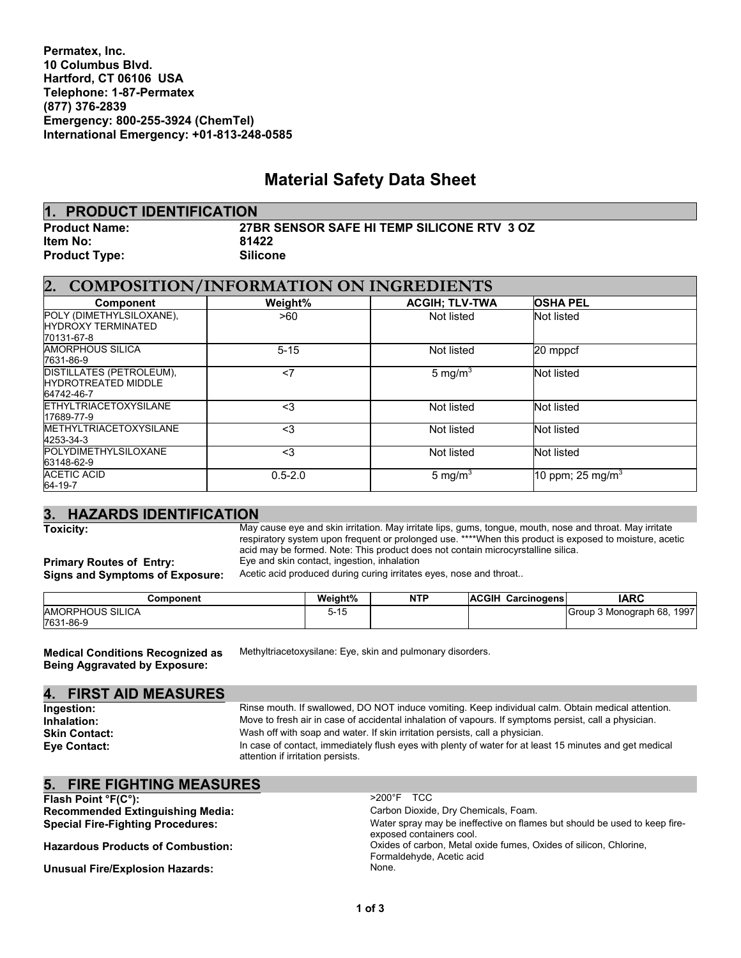**Permatex, Inc. 10 Columbus Blvd. Hartford, CT 06106 USA Telephone: 1-87-Permatex (877) 376-2839 Emergency: 800-255-3924 (ChemTel) International Emergency: +01-813-248-0585**

# **Material Safety Data Sheet**

| 1. PRODUCT IDENTIFICATION |                                            |
|---------------------------|--------------------------------------------|
| <b>Product Name:</b>      | 27BR SENSOR SAFE HI TEMP SILICONE RTV 3 OZ |
| <b>Item No:</b>           | 81422                                      |
| <b>Product Type:</b>      | <b>Silicone</b>                            |

| 2.<br><b>COMPOSITION/INFORMATION ON INGREDIENTS</b>                  |             |                       |                              |  |
|----------------------------------------------------------------------|-------------|-----------------------|------------------------------|--|
| <b>Component</b>                                                     | Weight%     | <b>ACGIH: TLV-TWA</b> | <b>OSHA PEL</b>              |  |
| POLY (DIMETHYLSILOXANE),<br><b>HYDROXY TERMINATED</b><br>70131-67-8  | >60         | Not listed            | Not listed                   |  |
| <b>AMORPHOUS SILICA</b><br>7631-86-9                                 | $5 - 15$    | Not listed            | 20 mppcf                     |  |
| DISTILLATES (PETROLEUM),<br><b>HYDROTREATED MIDDLE</b><br>64742-46-7 | $<$ 7       | 5 mg/m <sup>3</sup>   | Not listed                   |  |
| <b>ETHYLTRIACETOXYSILANE</b><br>17689-77-9                           | $<$ 3       | Not listed            | Not listed                   |  |
| <b>METHYLTRIACETOXYSILANE</b><br>4253-34-3                           | $3$         | Not listed            | Not listed                   |  |
| POLYDIMETHYLSILOXANE<br>63148-62-9                                   | $3$         | Not listed            | Not listed                   |  |
| <b>ACETIC ACID</b><br>64-19-7                                        | $0.5 - 2.0$ | 5 mg/m $3$            | 10 ppm; 25 mg/m <sup>3</sup> |  |

# **3. HAZARDS IDENTIFICATION**

May cause eye and skin irritation. May irritate lips, gums, tongue, mouth, nose and throat. May irritate<br>respiratory system upon frequent or prolonged use. \*\*\*\*When this product is exposed to moisture, acetic acid may be formed. Note: This product does not contain microcyrstalline silica.

**Primary Routes of Entry:** Eye and skin contact, ingestion, inhalation

Signs and Symptoms of Exposure: Acetic acid produced during curing irritates eyes, nose and throat..

| Component        | Weight% | <b>NTP</b> | <b>ACGIH</b><br>Carcinogens | <b>IARC</b>                   |
|------------------|---------|------------|-----------------------------|-------------------------------|
| AMORPHOUS SILICA | 5-15    |            |                             | 1997<br>Group 3 Monograph 68, |
| 7631-86-9        |         |            |                             |                               |

**Medical Conditions Recognized as Being Aggravated by Exposure:**

Methyltriacetoxysilane: Eye, skin and pulmonary disorders.

#### **4. FIRST AID MEASURES**

**Ingestion:** Rinse mouth. If swallowed, DO NOT induce vomiting. Keep individual calm. Obtain medical attention.<br> **Inhalation:** Move to fresh air in case of accidental inhalation of vapours. If symptoms persist, call a phys **Inhalation:** Move to fresh air in case of accidental inhalation of vapours. If symptoms persist, call a physician. Skin Contact: Wash off with soap and water. If skin irritation persists, call a physician. **Eye Contact:** In case of contact, immediately flush eyes with plenty of water for at least 15 minutes and get medical attention if irritation persists.

# **5. FIRE FIGHTING MEASURES**

| Flash Point ${}^{\circ}F(C^{\circ})$ :   | $>200^{\circ}$ F TCC                                                                                  |
|------------------------------------------|-------------------------------------------------------------------------------------------------------|
| <b>Recommended Extinguishing Media:</b>  | Carbon Dioxide, Dry Chemicals, Foam.                                                                  |
| <b>Special Fire-Fighting Procedures:</b> | Water spray may be ineffective on flames but should be used to keep fire-<br>exposed containers cool. |
| <b>Hazardous Products of Combustion:</b> | Oxides of carbon, Metal oxide fumes, Oxides of silicon, Chlorine,<br>Formaldehyde, Acetic acid        |
| <b>Unusual Fire/Explosion Hazards:</b>   | None.                                                                                                 |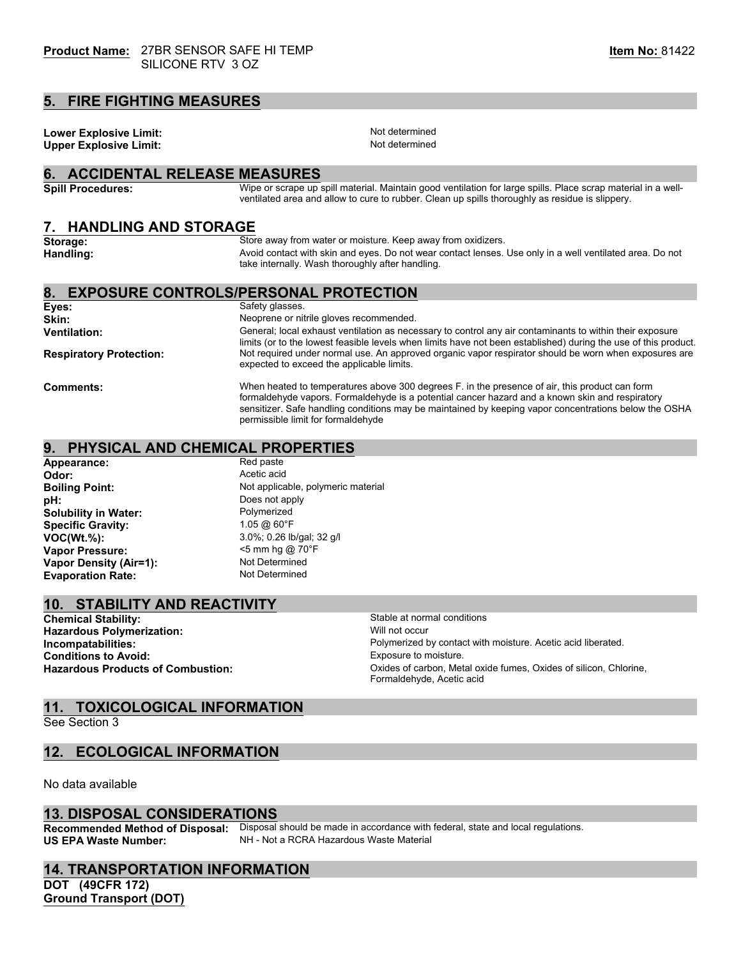#### **5. FIRE FIGHTING MEASURES**

**Lower Explosive Limit:** Not determined<br> **Notably the Contract Contract Contract Contract Contract Contract Contract Contract Contract Contract Contract**<br>
Not determined **Upper Explosive Limit:** 

**Storage:** Store away from water or moisture. Keep away from oxidizers.

### **6. ACCIDENTAL RELEASE MEASURES**

**Spill Procedures:** Wipe or scrape up spill material. Maintain good ventilation for large spills. Place scrap material in a wellventilated area and allow to cure to rubber. Clean up spills thoroughly as residue is slippery.

#### **7. HANDLING AND STORAGE**

| storage:<br>Handling:          | Store away from water or moisture. Neep away from oxidizers.<br>Avoid contact with skin and eyes. Do not wear contact lenses. Use only in a well ventilated area. Do not<br>take internally. Wash thoroughly after handling.                                                                               |  |  |
|--------------------------------|------------------------------------------------------------------------------------------------------------------------------------------------------------------------------------------------------------------------------------------------------------------------------------------------------------|--|--|
|                                | 8. EXPOSURE CONTROLS/PERSONAL PROTECTION                                                                                                                                                                                                                                                                   |  |  |
| Eyes:                          | Safety glasses.                                                                                                                                                                                                                                                                                            |  |  |
| Skin:                          | Neoprene or nitrile gloves recommended.                                                                                                                                                                                                                                                                    |  |  |
| <b>Ventilation:</b>            | General; local exhaust ventilation as necessary to control any air contaminants to within their exposure<br>limits (or to the lowest feasible levels when limits have not been established) during the use of this product.                                                                                |  |  |
| <b>Respiratory Protection:</b> | Not required under normal use. An approved organic vapor respirator should be worn when exposures are<br>expected to exceed the applicable limits.                                                                                                                                                         |  |  |
| <b>Comments:</b>               | When heated to temperatures above 300 degrees F, in the presence of air, this product can form<br>formaldehyde vapors. Formaldehyde is a potential cancer hazard and a known skin and respiratory<br>sensitizer. Safe handling conditions may be maintained by keeping vapor concentrations below the OSHA |  |  |

permissible limit for formaldehyde

# **9. PHYSICAL AND CHEMICAL PROPERTIES**

| Appearance:                 | Red paste                          |
|-----------------------------|------------------------------------|
| Odor:                       | Acetic acid                        |
| <b>Boiling Point:</b>       | Not applicable, polymeric material |
| pH:                         | Does not apply                     |
| <b>Solubility in Water:</b> | Polymerized                        |
| <b>Specific Gravity:</b>    | 1.05 @ 60°F                        |
| $VOC(Wt.\%)$ :              | 3.0%; 0.26 lb/gal; 32 g/l          |
| <b>Vapor Pressure:</b>      | $<$ 5 mm hg @ 70 $\degree$ F       |
| Vapor Density (Air=1):      | Not Determined                     |
| <b>Evaporation Rate:</b>    | Not Determined                     |

# **10. STABILITY AND REACTIVITY**

**Chemical Stability:** Stable at normal conditions<br> **Hazardous Polymerization:** Stable at normal conditions<br>
Will not occur **Hazardous Polymerization: Conditions to Avoid:** 

**Incompatabilities:**<br> **Conditions to Avoid:**<br> **Conditions to Avoid:**<br> **Conditions to Avoid:**<br> **Conditions to Avoid: Hazardous Products of Combustion:** Oxides of carbon, Metal oxide fumes, Oxides of silicon, Chlorine, Formaldehyde, Acetic acid

# **11. TOXICOLOGICAL INFORMATION**

See Section 3

# **12. ECOLOGICAL INFORMATION**

No data available

#### **13. DISPOSAL CONSIDERATIONS**

**Recommended Method of Disposal:** Disposal should be made in accordance with federal, state and local regulations.<br>**US EPA Waste Number:** NH - Not a RCRA Hazardous Waste Material **NH - Not a RCRA Hazardous Waste Material** 

#### **14. TRANSPORTATION INFORMATION**

**DOT (49CFR 172) Ground Transport (DOT)**